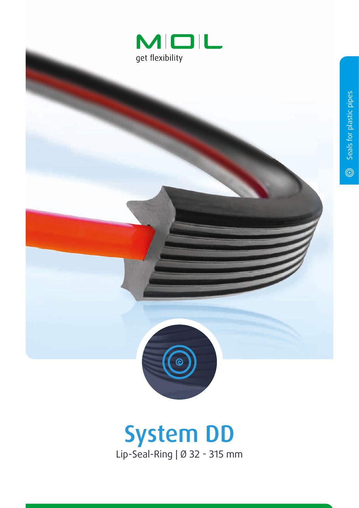



## System DD Lip-Seal-Ring | Ø 32 - 315 mm